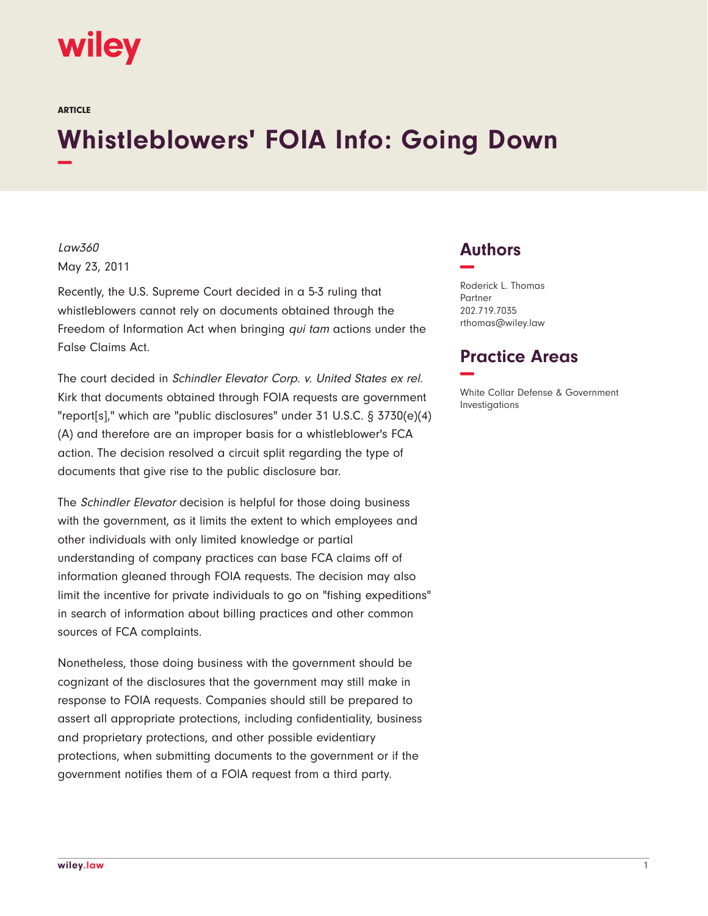

ARTICLE

# **Whistleblowers' FOIA Info: Going Down −**

Law360 May 23, 2011

Recently, the U.S. Supreme Court decided in a 5-3 ruling that whistleblowers cannot rely on documents obtained through the Freedom of Information Act when bringing qui tam actions under the False Claims Act.

The court decided in Schindler Elevator Corp. v. United States ex rel. Kirk that documents obtained through FOIA requests are government "report[s]," which are "public disclosures" under 31 U.S.C. § 3730(e)(4) (A) and therefore are an improper basis for a whistleblower's FCA action. The decision resolved a circuit split regarding the type of documents that give rise to the public disclosure bar.

The Schindler Elevator decision is helpful for those doing business with the government, as it limits the extent to which employees and other individuals with only limited knowledge or partial understanding of company practices can base FCA claims off of information gleaned through FOIA requests. The decision may also limit the incentive for private individuals to go on "fishing expeditions" in search of information about billing practices and other common sources of FCA complaints.

Nonetheless, those doing business with the government should be cognizant of the disclosures that the government may still make in response to FOIA requests. Companies should still be prepared to assert all appropriate protections, including confidentiality, business and proprietary protections, and other possible evidentiary protections, when submitting documents to the government or if the government notifies them of a FOIA request from a third party.

# **Authors −**

Roderick L. Thomas Partner 202.719.7035 rthomas@wiley.law

## **Practice Areas −**

White Collar Defense & Government Investigations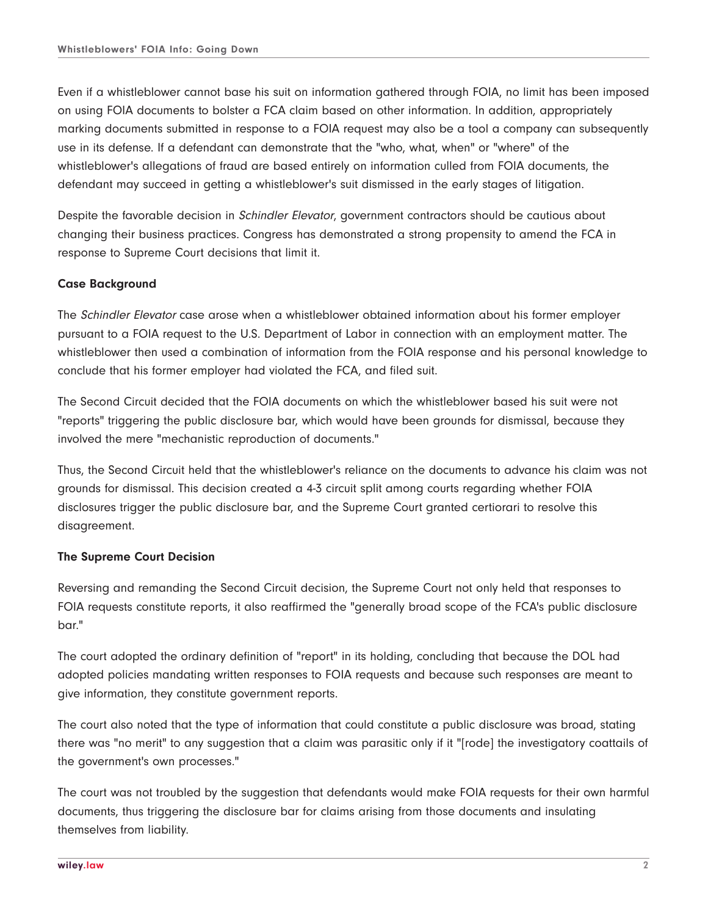Even if a whistleblower cannot base his suit on information gathered through FOIA, no limit has been imposed on using FOIA documents to bolster a FCA claim based on other information. In addition, appropriately marking documents submitted in response to a FOIA request may also be a tool a company can subsequently use in its defense. If a defendant can demonstrate that the "who, what, when" or "where" of the whistleblower's allegations of fraud are based entirely on information culled from FOIA documents, the defendant may succeed in getting a whistleblower's suit dismissed in the early stages of litigation.

Despite the favorable decision in Schindler Elevator, government contractors should be cautious about changing their business practices. Congress has demonstrated a strong propensity to amend the FCA in response to Supreme Court decisions that limit it.

## **Case Background**

The Schindler Elevator case arose when a whistleblower obtained information about his former employer pursuant to a FOIA request to the U.S. Department of Labor in connection with an employment matter. The whistleblower then used a combination of information from the FOIA response and his personal knowledge to conclude that his former employer had violated the FCA, and filed suit.

The Second Circuit decided that the FOIA documents on which the whistleblower based his suit were not "reports" triggering the public disclosure bar, which would have been grounds for dismissal, because they involved the mere "mechanistic reproduction of documents."

Thus, the Second Circuit held that the whistleblower's reliance on the documents to advance his claim was not grounds for dismissal. This decision created a 4-3 circuit split among courts regarding whether FOIA disclosures trigger the public disclosure bar, and the Supreme Court granted certiorari to resolve this disagreement.

### **The Supreme Court Decision**

Reversing and remanding the Second Circuit decision, the Supreme Court not only held that responses to FOIA requests constitute reports, it also reaffirmed the "generally broad scope of the FCA's public disclosure bar."

The court adopted the ordinary definition of "report" in its holding, concluding that because the DOL had adopted policies mandating written responses to FOIA requests and because such responses are meant to give information, they constitute government reports.

The court also noted that the type of information that could constitute a public disclosure was broad, stating there was "no merit" to any suggestion that a claim was parasitic only if it "[rode] the investigatory coattails of the government's own processes."

The court was not troubled by the suggestion that defendants would make FOIA requests for their own harmful documents, thus triggering the disclosure bar for claims arising from those documents and insulating themselves from liability.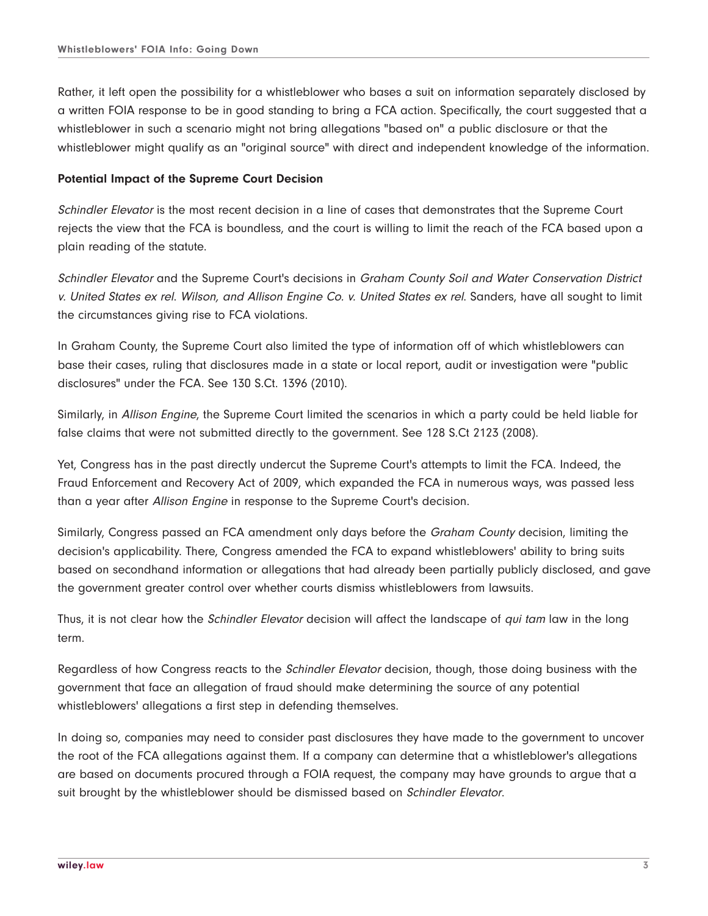Rather, it left open the possibility for a whistleblower who bases a suit on information separately disclosed by a written FOIA response to be in good standing to bring a FCA action. Specifically, the court suggested that a whistleblower in such a scenario might not bring allegations "based on" a public disclosure or that the whistleblower might qualify as an "original source" with direct and independent knowledge of the information.

#### **Potential Impact of the Supreme Court Decision**

Schindler Elevator is the most recent decision in a line of cases that demonstrates that the Supreme Court rejects the view that the FCA is boundless, and the court is willing to limit the reach of the FCA based upon a plain reading of the statute.

Schindler Elevator and the Supreme Court's decisions in Graham County Soil and Water Conservation District v. United States ex rel. Wilson, and Allison Engine Co. v. United States ex rel. Sanders, have all sought to limit the circumstances giving rise to FCA violations.

In Graham County, the Supreme Court also limited the type of information off of which whistleblowers can base their cases, ruling that disclosures made in a state or local report, audit or investigation were "public disclosures" under the FCA. See 130 S.Ct. 1396 (2010).

Similarly, in Allison Engine, the Supreme Court limited the scenarios in which a party could be held liable for false claims that were not submitted directly to the government. See 128 S.Ct 2123 (2008).

Yet, Congress has in the past directly undercut the Supreme Court's attempts to limit the FCA. Indeed, the Fraud Enforcement and Recovery Act of 2009, which expanded the FCA in numerous ways, was passed less than a year after Allison Engine in response to the Supreme Court's decision.

Similarly, Congress passed an FCA amendment only days before the *Graham County* decision, limiting the decision's applicability. There, Congress amended the FCA to expand whistleblowers' ability to bring suits based on secondhand information or allegations that had already been partially publicly disclosed, and gave the government greater control over whether courts dismiss whistleblowers from lawsuits.

Thus, it is not clear how the *Schindler Elevator* decision will affect the landscape of *qui tam* law in the long term.

Regardless of how Congress reacts to the *Schindler Elevator* decision, though, those doing business with the government that face an allegation of fraud should make determining the source of any potential whistleblowers' allegations a first step in defending themselves.

In doing so, companies may need to consider past disclosures they have made to the government to uncover the root of the FCA allegations against them. If a company can determine that a whistleblower's allegations are based on documents procured through a FOIA request, the company may have grounds to argue that a suit brought by the whistleblower should be dismissed based on Schindler Elevator.